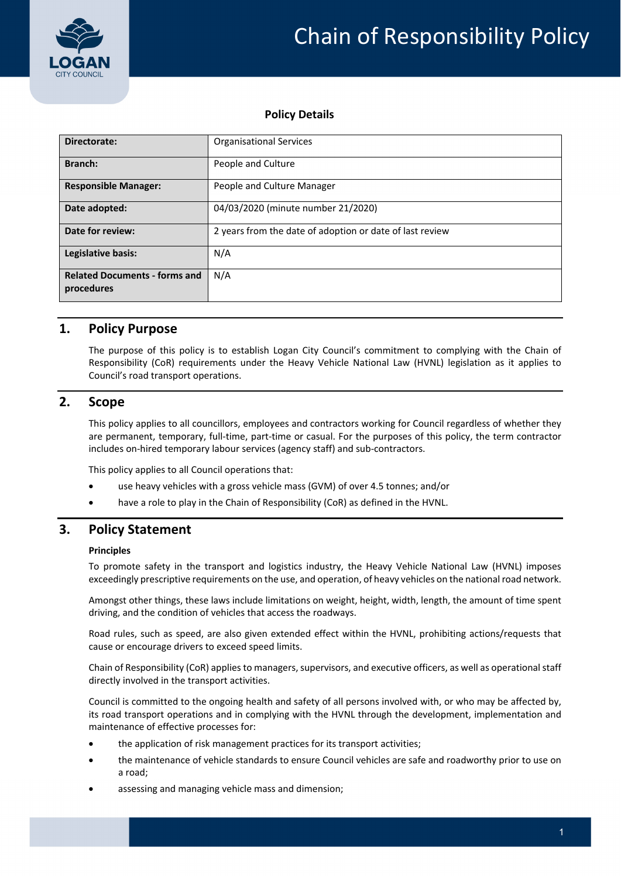



#### **Policy Details**

| Directorate:                                       | <b>Organisational Services</b>                           |  |  |
|----------------------------------------------------|----------------------------------------------------------|--|--|
| Branch:                                            | People and Culture                                       |  |  |
| <b>Responsible Manager:</b>                        | People and Culture Manager                               |  |  |
| Date adopted:                                      | 04/03/2020 (minute number 21/2020)                       |  |  |
| Date for review:                                   | 2 years from the date of adoption or date of last review |  |  |
| Legislative basis:                                 | N/A                                                      |  |  |
| <b>Related Documents - forms and</b><br>procedures | N/A                                                      |  |  |

#### **1. Policy Purpose**

The purpose of this policy is to establish Logan City Council's commitment to complying with the Chain of Responsibility (CoR) requirements under the Heavy Vehicle National Law (HVNL) legislation as it applies to Council's road transport operations.

## **2. Scope**

This policy applies to all councillors, employees and contractors working for Council regardless of whether they are permanent, temporary, full-time, part-time or casual. For the purposes of this policy, the term contractor includes on-hired temporary labour services (agency staff) and sub-contractors.

This policy applies to all Council operations that:

- use heavy vehicles with a gross vehicle mass (GVM) of over 4.5 tonnes; and/or
- have a role to play in the Chain of Responsibility (CoR) as defined in the HVNL.

### **3. Policy Statement**

#### **Principles**

To promote safety in the transport and logistics industry, the Heavy Vehicle National Law (HVNL) imposes exceedingly prescriptive requirements on the use, and operation, of heavy vehicles on the national road network.

Amongst other things, these laws include limitations on weight, height, width, length, the amount of time spent driving, and the condition of vehicles that access the roadways.

Road rules, such as speed, are also given extended effect within the HVNL, prohibiting actions/requests that cause or encourage drivers to exceed speed limits.

Chain of Responsibility (CoR) applies to managers, supervisors, and executive officers, as well as operational staff directly involved in the transport activities.

Council is committed to the ongoing health and safety of all persons involved with, or who may be affected by, its road transport operations and in complying with the HVNL through the development, implementation and maintenance of effective processes for:

- the application of risk management practices for its transport activities;
- the maintenance of vehicle standards to ensure Council vehicles are safe and roadworthy prior to use on a road;
- assessing and managing vehicle mass and dimension;